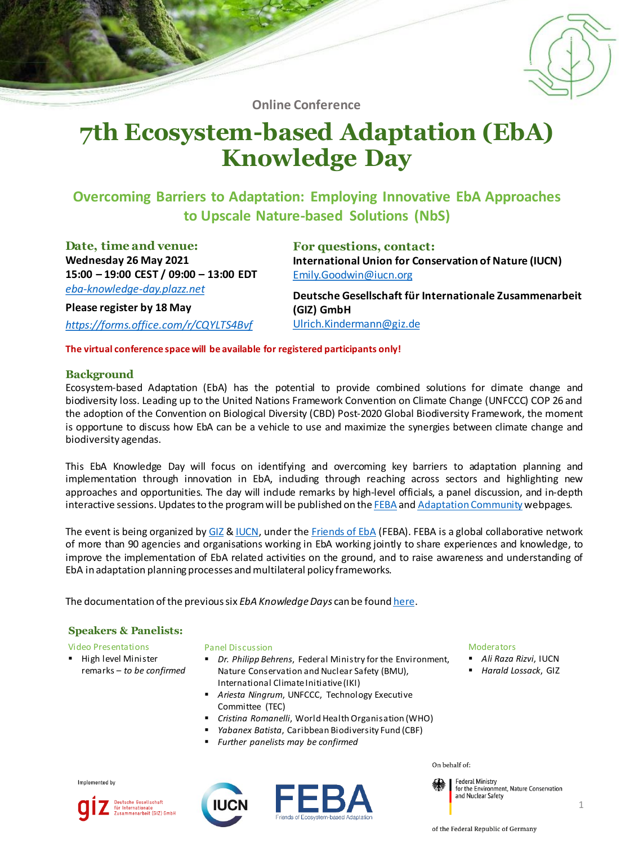

**Online Conference**

## **7th Ecosystem-based Adaptation (EbA) Knowledge Day**

## **Overcoming Barriers to Adaptation: Employing Innovative EbA Approaches to Upscale Nature-based Solutions (NbS)**

**Date, time and venue: Wednesday 26 May 2021 15:00 – 19:00 CEST / 09:00 – 13:00 EDT** *[eba-knowledge-day.plazz.net](http://eba-knowledge-day.plazz.net)*

**Please register by 18 May** *<https://forms.office.com/r/CQYLTS4Bvf>* **For questions, contact: International Union for Conservation of Nature (IUCN)** [Emily.Goodwin@iucn.org](mailto:Emily.Goodwin@iucn.org)

**Deutsche Gesellschaft für Internationale Zusammenarbeit (GIZ) GmbH** [Ulrich.Kindermann@giz.de](mailto:ulrich.kindermann@giz.de)

**The virtual conference space will be available for registered participants only!**

#### **Background**

Ecosystem-based Adaptation (EbA) has the potential to provide combined solutions for climate change and biodiversity loss. Leading up to the United Nations Framework Convention on Climate Change (UNFCCC) COP 26 and the adoption of the Convention on Biological Diversity (CBD) Post-2020 Global Biodiversity Framework, the moment is opportune to discuss how EbA can be a vehicle to use and maximize the synergies between climate change and biodiversity agendas.

This EbA Knowledge Day will focus on identifying and overcoming key barriers to adaptation planning and implementation through innovation in EbA, induding through reaching across sectors and highlighting new approaches and opportunities. The day will include remarks by high-level officials, a panel discussion, and in-depth interactive sessions. Updates to the program will be published on the [FEBA](http://www.FriendsofEbA.com) and Adaptation [Community](https://www.adaptationcommunity.net/invitation-to-the-6th-eba-knowledge-day-maximizing-the-potential-of-eba/) webpages.

The event is being organized by [GIZ](https://www.giz.de/en/html/index.html) & [IUCN,](http://www.iucn.org/eba) under the [Friends](http://www.FriendsofEbA.com) of EbA (FEBA). FEBA is a global collaborative network of more than 90 agencies and organisations working in EbA working jointly to share experiences and knowledge, to improve the implementation of EbA related activities on the ground, and to raise awareness and understanding of EbA in adaptation planning processes and multilateral policy frameworks.

The documentation of the previous six *EbA Knowledge Days* can be found [here.](https://www.adaptationcommunity.net/publications/documentation-of-the-6th-eba-knowledge-day-june-8-2020-bonn/)

### **Speakers & Panelists:**

Video Presentations

■ High level Minister remarks – *to be confirmed*

#### Panel Discussion

- *Dr. Philipp Behrens*, Federal Ministry for the Environment, Nature Conservation and Nuclear Safety (BMU), International Climate Initiative (IKI)
- *Ariesta Ningrum*, UNFCCC, Technology Executive Committee (TEC)
- *Cristina Romanelli*, World Health Organisation (WHO)
- *Yabanex Batista*, Caribbean Biodiversity Fund (CBF)
- *Further panelists may be confirmed*

Implemented by







#### Moderators

- *Ali Raza Rizvi*, IUCN
- *Harald Lossack*, GIZ

On behalf of:

Federal Ministry<br>for the Environment, Nature Conservation and Nuclear Safety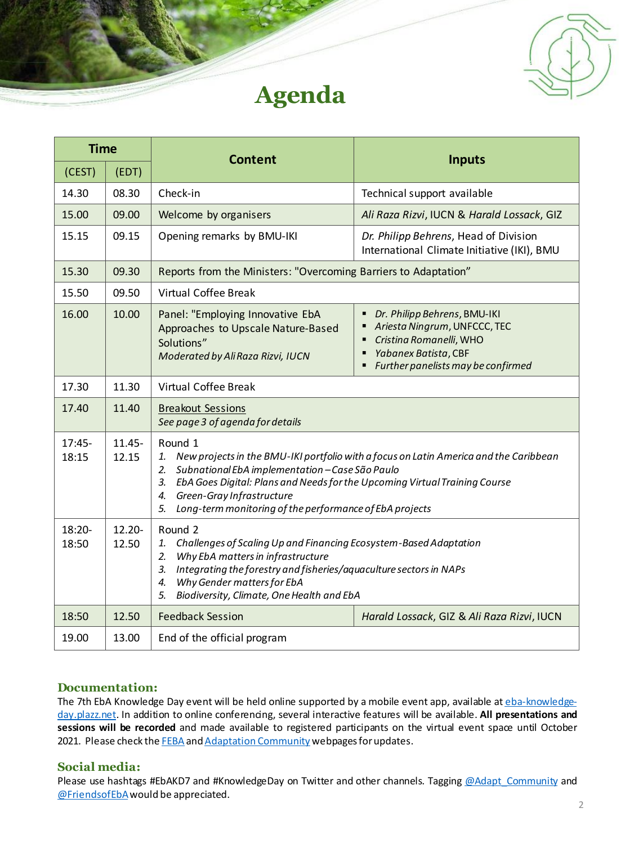

## **Agenda**

| <b>Time</b>        |                    | <b>Content</b>                                                                                                                                                                                                                                                                                                                                          |                                                                                                                                                         |  |
|--------------------|--------------------|---------------------------------------------------------------------------------------------------------------------------------------------------------------------------------------------------------------------------------------------------------------------------------------------------------------------------------------------------------|---------------------------------------------------------------------------------------------------------------------------------------------------------|--|
| (CEST)             | (EDT)              |                                                                                                                                                                                                                                                                                                                                                         | <b>Inputs</b>                                                                                                                                           |  |
| 14.30              | 08.30              | Check-in                                                                                                                                                                                                                                                                                                                                                | Technical support available                                                                                                                             |  |
| 15.00              | 09.00              | Welcome by organisers                                                                                                                                                                                                                                                                                                                                   | Ali Raza Rizvi, IUCN & Harald Lossack, GIZ                                                                                                              |  |
| 15.15              | 09.15              | Opening remarks by BMU-IKI                                                                                                                                                                                                                                                                                                                              | Dr. Philipp Behrens, Head of Division<br>International Climate Initiative (IKI), BMU                                                                    |  |
| 15.30              | 09.30              | Reports from the Ministers: "Overcoming Barriers to Adaptation"                                                                                                                                                                                                                                                                                         |                                                                                                                                                         |  |
| 15.50              | 09.50              | <b>Virtual Coffee Break</b>                                                                                                                                                                                                                                                                                                                             |                                                                                                                                                         |  |
| 16.00              | 10.00              | Panel: "Employing Innovative EbA<br>Approaches to Upscale Nature-Based<br>Solutions"<br>Moderated by Ali Raza Rizvi, IUCN                                                                                                                                                                                                                               | • Dr. Philipp Behrens, BMU-IKI<br>Ariesta Ningrum, UNFCCC, TEC<br>Cristina Romanelli, WHO<br>Yabanex Batista, CBF<br>Further panelists may be confirmed |  |
| 17.30              | 11.30              | <b>Virtual Coffee Break</b>                                                                                                                                                                                                                                                                                                                             |                                                                                                                                                         |  |
| 17.40              | 11.40              | <b>Breakout Sessions</b><br>See page 3 of agenda for details                                                                                                                                                                                                                                                                                            |                                                                                                                                                         |  |
| $17:45-$<br>18:15  | $11.45 -$<br>12.15 | Round 1<br>New projects in the BMU-IKI portfolio with a focus on Latin America and the Caribbean<br>1.<br>Subnational EbA implementation - Case São Paulo<br>2.<br>EbA Goes Digital: Plans and Needs for the Upcoming Virtual Training Course<br>3.<br>Green-Gray Infrastructure<br>4.<br>Long-term monitoring of the performance of EbA projects<br>5. |                                                                                                                                                         |  |
| $18:20 -$<br>18:50 | $12.20 -$<br>12.50 | Round 2<br>Challenges of Scaling Up and Financing Ecosystem-Based Adaptation<br>1.<br>Why EbA matters in infrastructure<br>2.<br>Integrating the forestry and fisheries/aquaculture sectors in NAPs<br>3.<br>Why Gender matters for EbA<br>4.<br>Biodiversity, Climate, One Health and EbA<br>5.                                                        |                                                                                                                                                         |  |
| 18:50              | 12.50              | <b>Feedback Session</b>                                                                                                                                                                                                                                                                                                                                 | Harald Lossack, GIZ & Ali Raza Rizvi, IUCN                                                                                                              |  |
| 19.00              | 13.00              | End of the official program                                                                                                                                                                                                                                                                                                                             |                                                                                                                                                         |  |

### **Documentation:**

The 7th EbA Knowledge Day event will be held online supported by a mobile event app, available at [eba-knowledge](https://eba-knowledge-day.plazz.net)day.plazz.net. In addition to online conferencing, several interactive features will be available. **All presentations and sessions will be recorded** and made available to registered participants on the virtual event space until October 2021. Please check the **[FEBA](http://www.friendsofeba.com)** and **Adaptation [Community](https://www.adaptationcommunity.net/invitation-to-the-6th-eba-knowledge-day-maximizing-the-potential-of-eba/)** webpages for updates.

### **Social media:**

Please use hashtags #EbAKD7 and #KnowledgeDay on Twitter and other channels. Tagging [@Adapt\\_Community](https://twitter.com/Adapt_Community) and [@FriendsofEbA](http://www.twitter.com/FriendsofEbA) would be appreciated.